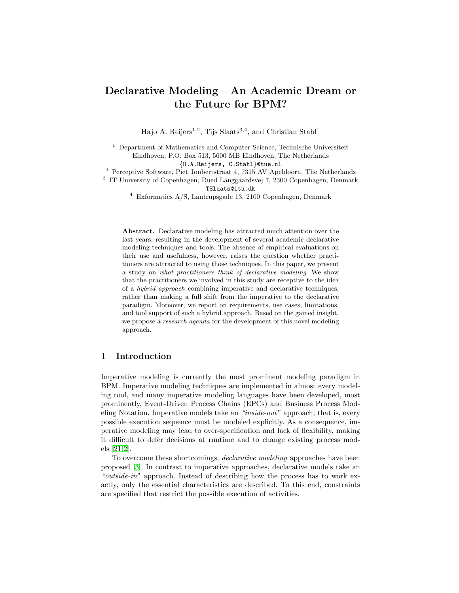# Declarative Modeling—An Academic Dream or the Future for BPM?

Hajo A. Reijers<sup>1,2</sup>, Tijs Slaats<sup>3,4</sup>, and Christian Stahl<sup>1</sup>

<sup>1</sup> Department of Mathematics and Computer Science, Technische Universiteit Eindhoven, P.O. Box 513, 5600 MB Eindhoven, The Netherlands {H.A.Reijers, C.Stahl}@tue.nl

<sup>2</sup> Perceptive Software, Piet Joubertstraat 4, 7315 AV Apeldoorn, The Netherlands

<sup>3</sup> IT University of Copenhagen, Rued Langgaardsvej 7, 2300 Copenhagen, Denmark

TSlaats@itu.dk

 $^4\,$  Exformatics A/S, Lautrupsgade 13, 2100 Copenhagen, Denmark

Abstract. Declarative modeling has attracted much attention over the last years, resulting in the development of several academic declarative modeling techniques and tools. The absence of empirical evaluations on their use and usefulness, however, raises the question whether practitioners are attracted to using those techniques. In this paper, we present a study on what practitioners think of declarative modeling. We show that the practitioners we involved in this study are receptive to the idea of a hybrid approach combining imperative and declarative techniques, rather than making a full shift from the imperative to the declarative paradigm. Moreover, we report on requirements, use cases, limitations, and tool support of such a hybrid approach. Based on the gained insight, we propose a research agenda for the development of this novel modeling approach.

# 1 Introduction

Imperative modeling is currently the most prominent modeling paradigm in BPM. Imperative modeling techniques are implemented in almost every modeling tool, and many imperative modeling languages have been developed, most prominently, Event-Driven Process Chains (EPCs) and Business Process Modeling Notation. Imperative models take an "inside-out" approach; that is, every possible execution sequence must be modeled explicitly. As a consequence, imperative modeling may lead to over-specification and lack of flexibility, making it difficult to defer decisions at runtime and to change existing process models [\[21,](#page-15-0)[2\]](#page-14-0).

To overcome these shortcomings, declarative modeling approaches have been proposed [\[3\]](#page-15-1). In contrast to imperative approaches, declarative models take an "outside-in" approach. Instead of describing how the process has to work exactly, only the essential characteristics are described. To this end, constraints are specified that restrict the possible execution of activities.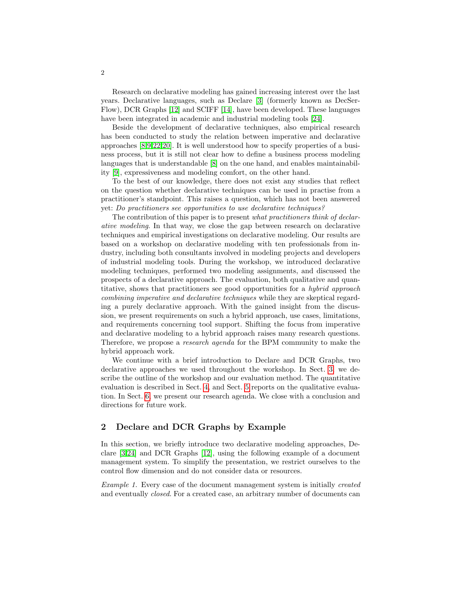Research on declarative modeling has gained increasing interest over the last years. Declarative languages, such as Declare [\[3\]](#page-15-1) (formerly known as DecSer-Flow), DCR Graphs [\[12\]](#page-15-2) and SCIFF [\[14\]](#page-15-3), have been developed. These languages have been integrated in academic and industrial modeling tools [\[24\]](#page-15-4).

Beside the development of declarative techniques, also empirical research has been conducted to study the relation between imperative and declarative approaches [\[8,](#page-15-5)[9](#page-15-6)[,22,](#page-15-7)[20\]](#page-15-8). It is well understood how to specify properties of a business process, but it is still not clear how to define a business process modeling languages that is understandable [\[8\]](#page-15-5) on the one hand, and enables maintainability [\[9\]](#page-15-6), expressiveness and modeling comfort, on the other hand.

To the best of our knowledge, there does not exist any studies that reflect on the question whether declarative techniques can be used in practise from a practitioner's standpoint. This raises a question, which has not been answered yet: Do practitioners see opportunities to use declarative techniques?

The contribution of this paper is to present *what practitioners think of declar*ative modeling. In that way, we close the gap between research on declarative techniques and empirical investigations on declarative modeling. Our results are based on a workshop on declarative modeling with ten professionals from industry, including both consultants involved in modeling projects and developers of industrial modeling tools. During the workshop, we introduced declarative modeling techniques, performed two modeling assignments, and discussed the prospects of a declarative approach. The evaluation, both qualitative and quantitative, shows that practitioners see good opportunities for a hybrid approach combining imperative and declarative techniques while they are skeptical regarding a purely declarative approach. With the gained insight from the discussion, we present requirements on such a hybrid approach, use cases, limitations, and requirements concerning tool support. Shifting the focus from imperative and declarative modeling to a hybrid approach raises many research questions. Therefore, we propose a research agenda for the BPM community to make the hybrid approach work.

We continue with a brief introduction to Declare and DCR Graphs, two declarative approaches we used throughout the workshop. In Sect. [3,](#page-5-0) we describe the outline of the workshop and our evaluation method. The quantitative evaluation is described in Sect. [4,](#page-7-0) and Sect. [5](#page-9-0) reports on the qualitative evaluation. In Sect. [6,](#page-13-0) we present our research agenda. We close with a conclusion and directions for future work.

# <span id="page-1-0"></span>2 Declare and DCR Graphs by Example

In this section, we briefly introduce two declarative modeling approaches, Declare [\[3,](#page-15-1)[24\]](#page-15-4) and DCR Graphs [\[12\]](#page-15-2), using the following example of a document management system. To simplify the presentation, we restrict ourselves to the control flow dimension and do not consider data or resources.

Example 1. Every case of the document management system is initially created and eventually closed. For a created case, an arbitrary number of documents can

2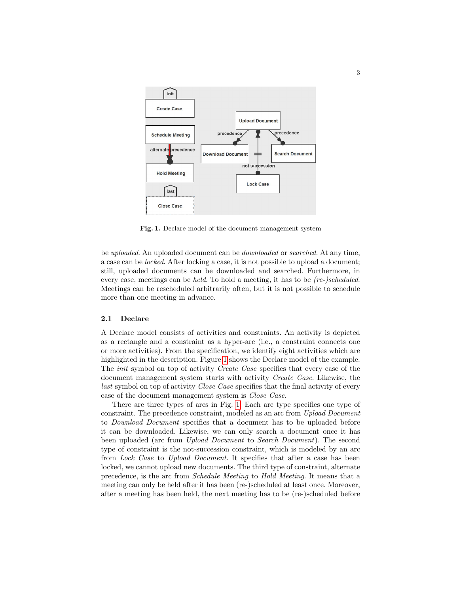

<span id="page-2-0"></span>Fig. 1. Declare model of the document management system

be uploaded. An uploaded document can be downloaded or searched. At any time, a case can be locked. After locking a case, it is not possible to upload a document; still, uploaded documents can be downloaded and searched. Furthermore, in every case, meetings can be *held*. To hold a meeting, it has to be *(re-)scheduled*. Meetings can be rescheduled arbitrarily often, but it is not possible to schedule more than one meeting in advance.

### 2.1 Declare

A Declare model consists of activities and constraints. An activity is depicted as a rectangle and a constraint as a hyper-arc (i.e., a constraint connects one or more activities). From the specification, we identify eight activities which are highlighted in the description. Figure [1](#page-2-0) shows the Declare model of the example. The *init* symbol on top of activity *Create Case* specifies that every case of the document management system starts with activity Create Case. Likewise, the last symbol on top of activity *Close Case* specifies that the final activity of every case of the document management system is Close Case.

There are three types of arcs in Fig. [1.](#page-2-0) Each arc type specifies one type of constraint. The precedence constraint, modeled as an arc from Upload Document to Download Document specifies that a document has to be uploaded before it can be downloaded. Likewise, we can only search a document once it has been uploaded (arc from Upload Document to Search Document). The second type of constraint is the not-succession constraint, which is modeled by an arc from Lock Case to Upload Document. It specifies that after a case has been locked, we cannot upload new documents. The third type of constraint, alternate precedence, is the arc from Schedule Meeting to Hold Meeting. It means that a meeting can only be held after it has been (re-)scheduled at least once. Moreover, after a meeting has been held, the next meeting has to be (re-)scheduled before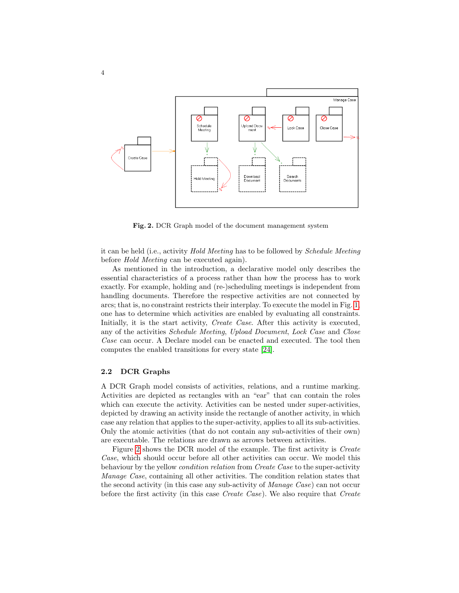

<span id="page-3-0"></span>Fig. 2. DCR Graph model of the document management system

it can be held (i.e., activity Hold Meeting has to be followed by Schedule Meeting before Hold Meeting can be executed again).

As mentioned in the introduction, a declarative model only describes the essential characteristics of a process rather than how the process has to work exactly. For example, holding and (re-)scheduling meetings is independent from handling documents. Therefore the respective activities are not connected by arcs; that is, no constraint restricts their interplay. To execute the model in Fig. [1,](#page-2-0) one has to determine which activities are enabled by evaluating all constraints. Initially, it is the start activity, *Create Case*. After this activity is executed, any of the activities Schedule Meeting, Upload Document, Lock Case and Close Case can occur. A Declare model can be enacted and executed. The tool then computes the enabled transitions for every state [\[24\]](#page-15-4).

#### 2.2 DCR Graphs

A DCR Graph model consists of activities, relations, and a runtime marking. Activities are depicted as rectangles with an "ear" that can contain the roles which can execute the activity. Activities can be nested under super-activities, depicted by drawing an activity inside the rectangle of another activity, in which case any relation that applies to the super-activity, applies to all its sub-activities. Only the atomic activities (that do not contain any sub-activities of their own) are executable. The relations are drawn as arrows between activities.

Figure [2](#page-3-0) shows the DCR model of the example. The first activity is Create Case, which should occur before all other activities can occur. We model this behaviour by the yellow *condition relation* from *Create Case* to the super-activity Manage Case, containing all other activities. The condition relation states that the second activity (in this case any sub-activity of Manage Case) can not occur before the first activity (in this case Create Case). We also require that Create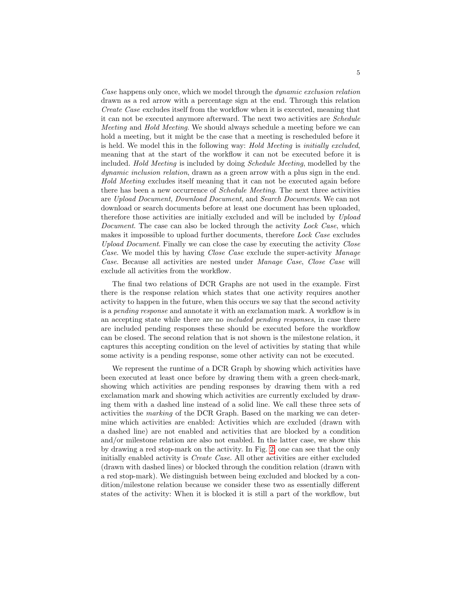Case happens only once, which we model through the *dynamic exclusion relation* drawn as a red arrow with a percentage sign at the end. Through this relation Create Case excludes itself from the workflow when it is executed, meaning that it can not be executed anymore afterward. The next two activities are Schedule Meeting and Hold Meeting. We should always schedule a meeting before we can hold a meeting, but it might be the case that a meeting is rescheduled before it is held. We model this in the following way: Hold Meeting is initially excluded, meaning that at the start of the workflow it can not be executed before it is included. Hold Meeting is included by doing Schedule Meeting, modelled by the dynamic inclusion relation, drawn as a green arrow with a plus sign in the end. Hold Meeting excludes itself meaning that it can not be executed again before there has been a new occurrence of Schedule Meeting. The next three activities are Upload Document, Download Document, and Search Documents. We can not download or search documents before at least one document has been uploaded, therefore those activities are initially excluded and will be included by Upload Document. The case can also be locked through the activity Lock Case, which makes it impossible to upload further documents, therefore Lock Case excludes Upload Document. Finally we can close the case by executing the activity Close Case. We model this by having Close Case exclude the super-activity Manage Case. Because all activities are nested under Manage Case, Close Case will exclude all activities from the workflow.

The final two relations of DCR Graphs are not used in the example. First there is the response relation which states that one activity requires another activity to happen in the future, when this occurs we say that the second activity is a pending response and annotate it with an exclamation mark. A workflow is in an accepting state while there are no included pending responses, in case there are included pending responses these should be executed before the workflow can be closed. The second relation that is not shown is the milestone relation, it captures this accepting condition on the level of activities by stating that while some activity is a pending response, some other activity can not be executed.

We represent the runtime of a DCR Graph by showing which activities have been executed at least once before by drawing them with a green check-mark, showing which activities are pending responses by drawing them with a red exclamation mark and showing which activities are currently excluded by drawing them with a dashed line instead of a solid line. We call these three sets of activities the marking of the DCR Graph. Based on the marking we can determine which activities are enabled: Activities which are excluded (drawn with a dashed line) are not enabled and activities that are blocked by a condition and/or milestone relation are also not enabled. In the latter case, we show this by drawing a red stop-mark on the activity. In Fig. [2,](#page-3-0) one can see that the only initially enabled activity is Create Case. All other activities are either excluded (drawn with dashed lines) or blocked through the condition relation (drawn with a red stop-mark). We distinguish between being excluded and blocked by a condition/milestone relation because we consider these two as essentially different states of the activity: When it is blocked it is still a part of the workflow, but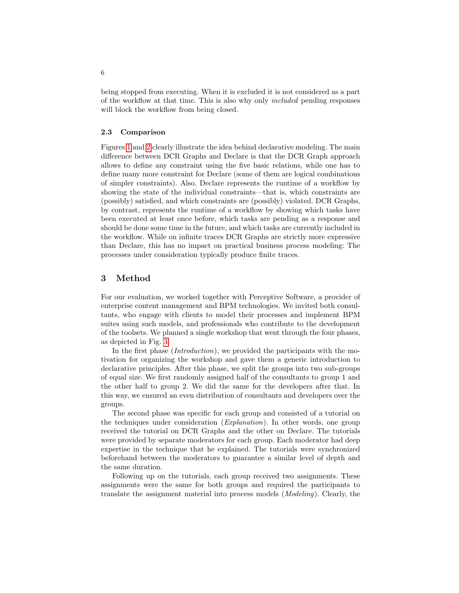being stopped from executing. When it is excluded it is not considered as a part of the workflow at that time. This is also why only included pending responses will block the workflow from being closed.

### 2.3 Comparison

Figures [1](#page-2-0) and [2](#page-3-0) clearly illustrate the idea behind declarative modeling. The main difference between DCR Graphs and Declare is that the DCR Graph approach allows to define any constraint using the five basic relations, while one has to define many more constraint for Declare (some of them are logical combinations of simpler constraints). Also, Declare represents the runtime of a workflow by showing the state of the individual constraints—that is, which constraints are (possibly) satisfied, and which constraints are (possibly) violated. DCR Graphs, by contrast, represents the runtime of a workflow by showing which tasks have been executed at least once before, which tasks are pending as a response and should be done some time in the future, and which tasks are currently included in the workflow. While on infinite traces DCR Graphs are strictly more expressive than Declare, this has no impact on practical business process modeling: The processes under consideration typically produce finite traces.

## <span id="page-5-0"></span>3 Method

For our evaluation, we worked together with Perceptive Software, a provider of enterprise content management and BPM technologies. We invited both consultants, who engage with clients to model their processes and implement BPM suites using such models, and professionals who contribute to the development of the toolsets. We planned a single workshop that went through the four phases, as depicted in Fig. [3.](#page-6-0)

In the first phase (Introduction), we provided the participants with the motivation for organizing the workshop and gave them a generic introduction to declarative principles. After this phase, we split the groups into two sub-groups of equal size. We first randomly assigned half of the consultants to group 1 and the other half to group 2. We did the same for the developers after that. In this way, we ensured an even distribution of consultants and developers over the groups.

The second phase was specific for each group and consisted of a tutorial on the techniques under consideration (Explanation). In other words, one group received the tutorial on DCR Graphs and the other on Declare. The tutorials were provided by separate moderators for each group. Each moderator had deep expertise in the technique that he explained. The tutorials were synchronized beforehand between the moderators to guarantee a similar level of depth and the same duration.

Following up on the tutorials, each group received two assignments. These assignments were the same for both groups and required the participants to translate the assignment material into process models (Modeling). Clearly, the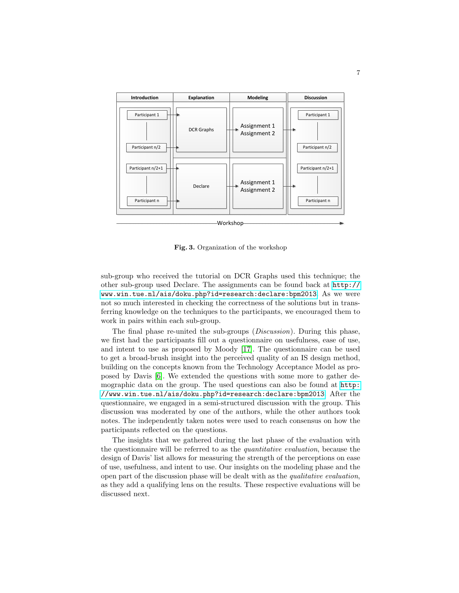

<span id="page-6-0"></span>Fig. 3. Organization of the workshop

sub-group who received the tutorial on DCR Graphs used this technique; the other sub-group used Declare. The assignments can be found back at [http://](http://www.win.tue.nl/ais/doku.php?id=research:declare:bpm2013) [www.win.tue.nl/ais/doku.php?id=research:declare:bpm2013](http://www.win.tue.nl/ais/doku.php?id=research:declare:bpm2013). As we were not so much interested in checking the correctness of the solutions but in transferring knowledge on the techniques to the participants, we encouraged them to work in pairs within each sub-group.

The final phase re-united the sub-groups (Discussion). During this phase, we first had the participants fill out a questionnaire on usefulness, ease of use, and intent to use as proposed by Moody [\[17\]](#page-15-9). The questionnaire can be used to get a broad-brush insight into the perceived quality of an IS design method, building on the concepts known from the Technology Acceptance Model as proposed by Davis [\[6\]](#page-15-10). We extended the questions with some more to gather demographic data on the group. The used questions can also be found at [http:](http://www.win.tue.nl/ais/doku.php?id=research:declare:bpm2013) [//www.win.tue.nl/ais/doku.php?id=research:declare:bpm2013](http://www.win.tue.nl/ais/doku.php?id=research:declare:bpm2013). After the questionnaire, we engaged in a semi-structured discussion with the group. This discussion was moderated by one of the authors, while the other authors took notes. The independently taken notes were used to reach consensus on how the participants reflected on the questions.

The insights that we gathered during the last phase of the evaluation with the questionnaire will be referred to as the quantitative evaluation, because the design of Davis' list allows for measuring the strength of the perceptions on ease of use, usefulness, and intent to use. Our insights on the modeling phase and the open part of the discussion phase will be dealt with as the qualitative evaluation, as they add a qualifying lens on the results. These respective evaluations will be discussed next.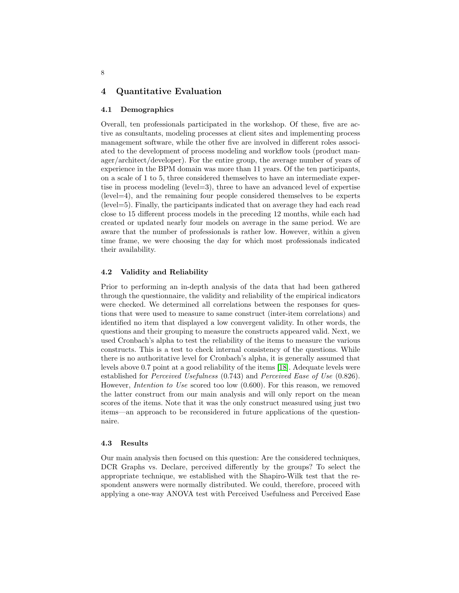# <span id="page-7-0"></span>4 Quantitative Evaluation

### 4.1 Demographics

Overall, ten professionals participated in the workshop. Of these, five are active as consultants, modeling processes at client sites and implementing process management software, while the other five are involved in different roles associated to the development of process modeling and workflow tools (product manager/architect/developer). For the entire group, the average number of years of experience in the BPM domain was more than 11 years. Of the ten participants, on a scale of 1 to 5, three considered themselves to have an intermediate expertise in process modeling (level=3), three to have an advanced level of expertise  $(\text{level=4})$ , and the remaining four people considered themselves to be experts (level=5). Finally, the participants indicated that on average they had each read close to 15 different process models in the preceding 12 months, while each had created or updated nearly four models on average in the same period. We are aware that the number of professionals is rather low. However, within a given time frame, we were choosing the day for which most professionals indicated their availability.

### 4.2 Validity and Reliability

Prior to performing an in-depth analysis of the data that had been gathered through the questionnaire, the validity and reliability of the empirical indicators were checked. We determined all correlations between the responses for questions that were used to measure to same construct (inter-item correlations) and identified no item that displayed a low convergent validity. In other words, the questions and their grouping to measure the constructs appeared valid. Next, we used Cronbach's alpha to test the reliability of the items to measure the various constructs. This is a test to check internal consistency of the questions. While there is no authoritative level for Cronbach's alpha, it is generally assumed that levels above 0.7 point at a good reliability of the items [\[18\]](#page-15-11). Adequate levels were established for Perceived Usefulness (0.743) and Perceived Ease of Use (0.826). However, Intention to Use scored too low (0.600). For this reason, we removed the latter construct from our main analysis and will only report on the mean scores of the items. Note that it was the only construct measured using just two items—an approach to be reconsidered in future applications of the questionnaire.

### 4.3 Results

Our main analysis then focused on this question: Are the considered techniques, DCR Graphs vs. Declare, perceived differently by the groups? To select the appropriate technique, we established with the Shapiro-Wilk test that the respondent answers were normally distributed. We could, therefore, proceed with applying a one-way ANOVA test with Perceived Usefulness and Perceived Ease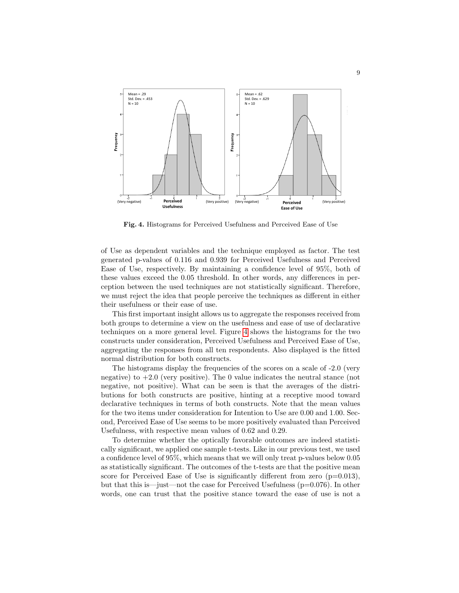

<span id="page-8-0"></span>Fig. 4. Histograms for Perceived Usefulness and Perceived Ease of Use

of Use as dependent variables and the technique employed as factor. The test generated p-values of 0.116 and 0.939 for Perceived Usefulness and Perceived Ease of Use, respectively. By maintaining a confidence level of 95%, both of these values exceed the 0.05 threshold. In other words, any differences in perception between the used techniques are not statistically significant. Therefore, we must reject the idea that people perceive the techniques as different in either their usefulness or their ease of use.

This first important insight allows us to aggregate the responses received from both groups to determine a view on the usefulness and ease of use of declarative techniques on a more general level. Figure [4](#page-8-0) shows the histograms for the two constructs under consideration, Perceived Usefulness and Perceived Ease of Use, aggregating the responses from all ten respondents. Also displayed is the fitted normal distribution for both constructs.

The histograms display the frequencies of the scores on a scale of -2.0 (very negative) to  $+2.0$  (very positive). The 0 value indicates the neutral stance (not negative, not positive). What can be seen is that the averages of the distributions for both constructs are positive, hinting at a receptive mood toward declarative techniques in terms of both constructs. Note that the mean values for the two items under consideration for Intention to Use are 0.00 and 1.00. Second, Perceived Ease of Use seems to be more positively evaluated than Perceived Usefulness, with respective mean values of 0.62 and 0.29.

To determine whether the optically favorable outcomes are indeed statistically significant, we applied one sample t-tests. Like in our previous test, we used a confidence level of 95%, which means that we will only treat p-values below 0.05 as statistically significant. The outcomes of the t-tests are that the positive mean score for Perceived Ease of Use is significantly different from zero  $(p=0.013)$ , but that this is—just—not the case for Perceived Usefulness (p=0.076). In other words, one can trust that the positive stance toward the ease of use is not a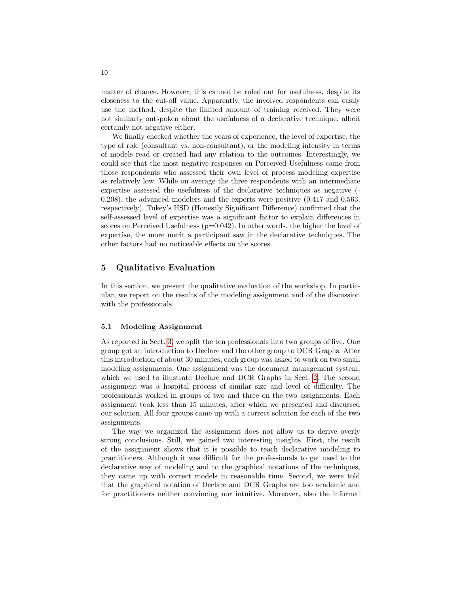matter of chance. However, this cannot be ruled out for usefulness, despite its closeness to the cut-off value. Apparently, the involved respondents can easily use the method, despite the limited amount of training received. They were not similarly outspoken about the usefulness of a declarative technique, albeit certainly not negative either.

We finally checked whether the years of experience, the level of expertise, the type of role (consultant vs. non-consultant), or the modeling intensity in terms of models read or created had any relation to the outcomes. Interestingly, we could see that the most negative responses on Perceived Usefulness came from those respondents who assessed their own level of process modeling expertise as relatively low. While on average the three respondents with an intermediate expertise assessed the usefulness of the declarative techniques as negative (- 0.208), the advanced modelers and the experts were positive (0.417 and 0.563, respectively). Tukey's HSD (Honestly Significant Difference) confirmed that the self-assessed level of expertise was a significant factor to explain differences in scores on Perceived Usefulness  $(p=0.042)$ . In other words, the higher the level of expertise, the more merit a participant saw in the declarative techniques. The other factors had no noticeable effects on the scores.

# <span id="page-9-0"></span>5 Qualitative Evaluation

In this section, we present the qualitative evaluation of the workshop. In particular, we report on the results of the modeling assignment and of the discussion with the professionals.

### <span id="page-9-1"></span>5.1 Modeling Assignment

As reported in Sect. [3,](#page-5-0) we split the ten professionals into two groups of five. One group got an introduction to Declare and the other group to DCR Graphs. After this introduction of about 30 minutes, each group was asked to work on two small modeling assignments. One assignment was the document management system, which we used to illustrate Declare and DCR Graphs in Sect. [2.](#page-1-0) The second assignment was a hospital process of similar size and level of difficulty. The professionals worked in groups of two and three on the two assignments. Each assignment took less than 15 minutes, after which we presented and discussed our solution. All four groups came up with a correct solution for each of the two assignments.

The way we organized the assignment does not allow us to derive overly strong conclusions. Still, we gained two interesting insights. First, the result of the assignment shows that it is possible to teach declarative modeling to practitioners. Although it was difficult for the professionals to get used to the declarative way of modeling and to the graphical notations of the techniques, they came up with correct models in reasonable time. Second, we were told that the graphical notation of Declare and DCR Graphs are too academic and for practitioners neither convincing nor intuitive. Moreover, also the informal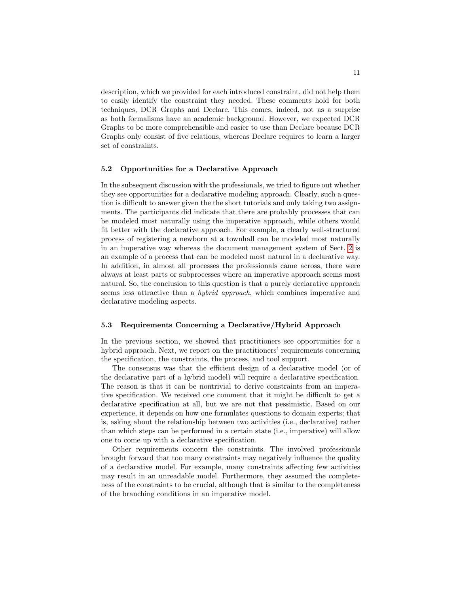description, which we provided for each introduced constraint, did not help them to easily identify the constraint they needed. These comments hold for both techniques, DCR Graphs and Declare. This comes, indeed, not as a surprise as both formalisms have an academic background. However, we expected DCR Graphs to be more comprehensible and easier to use than Declare because DCR Graphs only consist of five relations, whereas Declare requires to learn a larger set of constraints.

### 5.2 Opportunities for a Declarative Approach

In the subsequent discussion with the professionals, we tried to figure out whether they see opportunities for a declarative modeling approach. Clearly, such a question is difficult to answer given the the short tutorials and only taking two assignments. The participants did indicate that there are probably processes that can be modeled most naturally using the imperative approach, while others would fit better with the declarative approach. For example, a clearly well-structured process of registering a newborn at a townhall can be modeled most naturally in an imperative way whereas the document management system of Sect. [2](#page-1-0) is an example of a process that can be modeled most natural in a declarative way. In addition, in almost all processes the professionals came across, there were always at least parts or subprocesses where an imperative approach seems most natural. So, the conclusion to this question is that a purely declarative approach seems less attractive than a hybrid approach, which combines imperative and declarative modeling aspects.

### <span id="page-10-0"></span>5.3 Requirements Concerning a Declarative/Hybrid Approach

In the previous section, we showed that practitioners see opportunities for a hybrid approach. Next, we report on the practitioners' requirements concerning the specification, the constraints, the process, and tool support.

The consensus was that the efficient design of a declarative model (or of the declarative part of a hybrid model) will require a declarative specification. The reason is that it can be nontrivial to derive constraints from an imperative specification. We received one comment that it might be difficult to get a declarative specification at all, but we are not that pessimistic. Based on our experience, it depends on how one formulates questions to domain experts; that is, asking about the relationship between two activities (i.e., declarative) rather than which steps can be performed in a certain state (i.e., imperative) will allow one to come up with a declarative specification.

Other requirements concern the constraints. The involved professionals brought forward that too many constraints may negatively influence the quality of a declarative model. For example, many constraints affecting few activities may result in an unreadable model. Furthermore, they assumed the completeness of the constraints to be crucial, although that is similar to the completeness of the branching conditions in an imperative model.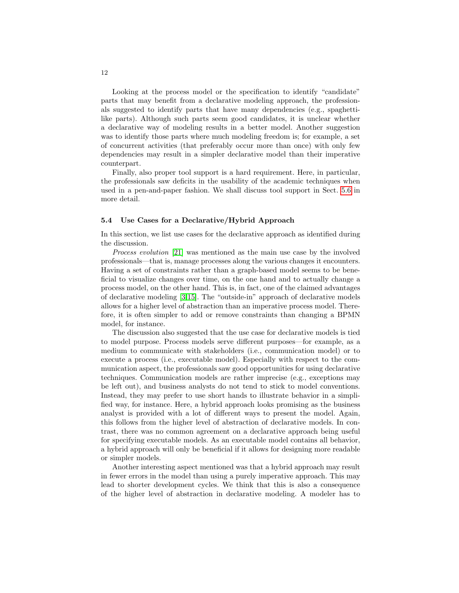Looking at the process model or the specification to identify "candidate" parts that may benefit from a declarative modeling approach, the professionals suggested to identify parts that have many dependencies (e.g., spaghettilike parts). Although such parts seem good candidates, it is unclear whether a declarative way of modeling results in a better model. Another suggestion was to identify those parts where much modeling freedom is; for example, a set of concurrent activities (that preferably occur more than once) with only few dependencies may result in a simpler declarative model than their imperative counterpart.

Finally, also proper tool support is a hard requirement. Here, in particular, the professionals saw deficits in the usability of the academic techniques when used in a pen-and-paper fashion. We shall discuss tool support in Sect. [5.6](#page-12-0) in more detail.

#### 5.4 Use Cases for a Declarative/Hybrid Approach

In this section, we list use cases for the declarative approach as identified during the discussion.

Process evolution [\[21\]](#page-15-0) was mentioned as the main use case by the involved professionals—that is, manage processes along the various changes it encounters. Having a set of constraints rather than a graph-based model seems to be beneficial to visualize changes over time, on the one hand and to actually change a process model, on the other hand. This is, in fact, one of the claimed advantages of declarative modeling [\[3](#page-15-1)[,15\]](#page-15-12). The "outside-in" approach of declarative models allows for a higher level of abstraction than an imperative process model. Therefore, it is often simpler to add or remove constraints than changing a BPMN model, for instance.

The discussion also suggested that the use case for declarative models is tied to model purpose. Process models serve different purposes—for example, as a medium to communicate with stakeholders (i.e., communication model) or to execute a process (i.e., executable model). Especially with respect to the communication aspect, the professionals saw good opportunities for using declarative techniques. Communication models are rather imprecise (e.g., exceptions may be left out), and business analysts do not tend to stick to model conventions. Instead, they may prefer to use short hands to illustrate behavior in a simplified way, for instance. Here, a hybrid approach looks promising as the business analyst is provided with a lot of different ways to present the model. Again, this follows from the higher level of abstraction of declarative models. In contrast, there was no common agreement on a declarative approach being useful for specifying executable models. As an executable model contains all behavior, a hybrid approach will only be beneficial if it allows for designing more readable or simpler models.

Another interesting aspect mentioned was that a hybrid approach may result in fewer errors in the model than using a purely imperative approach. This may lead to shorter development cycles. We think that this is also a consequence of the higher level of abstraction in declarative modeling. A modeler has to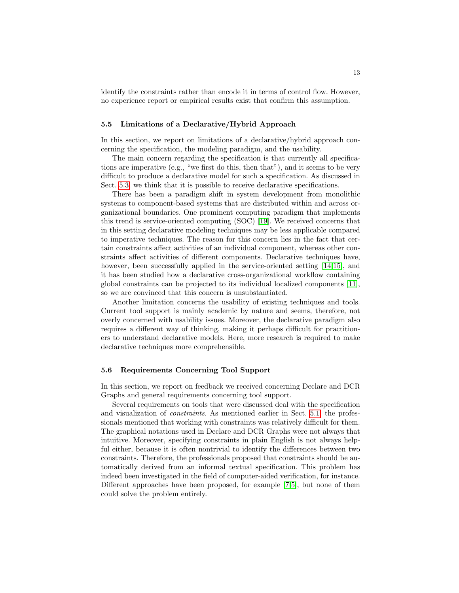identify the constraints rather than encode it in terms of control flow. However, no experience report or empirical results exist that confirm this assumption.

### 5.5 Limitations of a Declarative/Hybrid Approach

In this section, we report on limitations of a declarative/hybrid approach concerning the specification, the modeling paradigm, and the usability.

The main concern regarding the specification is that currently all specifications are imperative (e.g., "we first do this, then that"), and it seems to be very difficult to produce a declarative model for such a specification. As discussed in Sect. [5.3,](#page-10-0) we think that it is possible to receive declarative specifications.

There has been a paradigm shift in system development from monolithic systems to component-based systems that are distributed within and across organizational boundaries. One prominent computing paradigm that implements this trend is service-oriented computing (SOC) [\[19\]](#page-15-13). We received concerns that in this setting declarative modeling techniques may be less applicable compared to imperative techniques. The reason for this concern lies in the fact that certain constraints affect activities of an individual component, whereas other constraints affect activities of different components. Declarative techniques have, however, been successfully applied in the service-oriented setting [\[14,](#page-15-3)[15\]](#page-15-12), and it has been studied how a declarative cross-organizational workflow containing global constraints can be projected to its individual localized components [\[11\]](#page-15-14), so we are convinced that this concern is unsubstantiated.

Another limitation concerns the usability of existing techniques and tools. Current tool support is mainly academic by nature and seems, therefore, not overly concerned with usability issues. Moreover, the declarative paradigm also requires a different way of thinking, making it perhaps difficult for practitioners to understand declarative models. Here, more research is required to make declarative techniques more comprehensible.

### <span id="page-12-0"></span>5.6 Requirements Concerning Tool Support

In this section, we report on feedback we received concerning Declare and DCR Graphs and general requirements concerning tool support.

Several requirements on tools that were discussed deal with the specification and visualization of constraints. As mentioned earlier in Sect. [5.1,](#page-9-1) the professionals mentioned that working with constraints was relatively difficult for them. The graphical notations used in Declare and DCR Graphs were not always that intuitive. Moreover, specifying constraints in plain English is not always helpful either, because it is often nontrivial to identify the differences between two constraints. Therefore, the professionals proposed that constraints should be automatically derived from an informal textual specification. This problem has indeed been investigated in the field of computer-aided verification, for instance. Different approaches have been proposed, for example [\[7,](#page-15-15)[5\]](#page-15-16), but none of them could solve the problem entirely.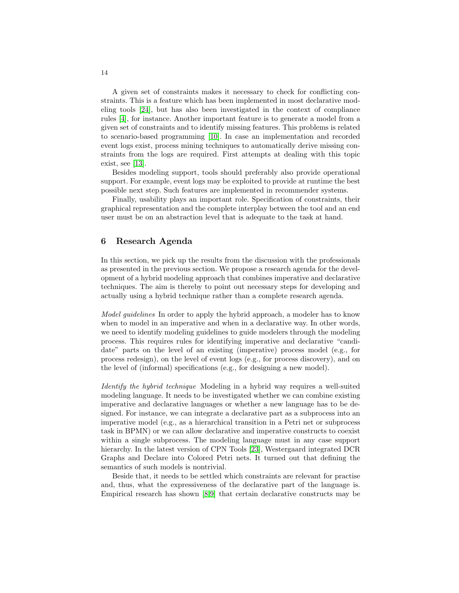A given set of constraints makes it necessary to check for conflicting constraints. This is a feature which has been implemented in most declarative modeling tools [\[24\]](#page-15-4), but has also been investigated in the context of compliance rules [\[4\]](#page-15-17), for instance. Another important feature is to generate a model from a given set of constraints and to identify missing features. This problems is related to scenario-based programming [\[10\]](#page-15-18). In case an implementation and recorded event logs exist, process mining techniques to automatically derive missing constraints from the logs are required. First attempts at dealing with this topic exist, see [\[13\]](#page-15-19).

Besides modeling support, tools should preferably also provide operational support. For example, event logs may be exploited to provide at runtime the best possible next step. Such features are implemented in recommender systems.

Finally, usability plays an important role. Specification of constraints, their graphical representation and the complete interplay between the tool and an end user must be on an abstraction level that is adequate to the task at hand.

# <span id="page-13-0"></span>6 Research Agenda

In this section, we pick up the results from the discussion with the professionals as presented in the previous section. We propose a research agenda for the development of a hybrid modeling approach that combines imperative and declarative techniques. The aim is thereby to point out necessary steps for developing and actually using a hybrid technique rather than a complete research agenda.

Model guidelines In order to apply the hybrid approach, a modeler has to know when to model in an imperative and when in a declarative way. In other words, we need to identify modeling guidelines to guide modelers through the modeling process. This requires rules for identifying imperative and declarative "candidate" parts on the level of an existing (imperative) process model (e.g., for process redesign), on the level of event logs (e.g., for process discovery), and on the level of (informal) specifications (e.g., for designing a new model).

Identify the hybrid technique Modeling in a hybrid way requires a well-suited modeling language. It needs to be investigated whether we can combine existing imperative and declarative languages or whether a new language has to be designed. For instance, we can integrate a declarative part as a subprocess into an imperative model (e.g., as a hierarchical transition in a Petri net or subprocess task in BPMN) or we can allow declarative and imperative constructs to coexist within a single subprocess. The modeling language must in any case support hierarchy. In the latest version of CPN Tools [\[23\]](#page-15-20), Westergaard integrated DCR Graphs and Declare into Colored Petri nets. It turned out that defining the semantics of such models is nontrivial.

Beside that, it needs to be settled which constraints are relevant for practise and, thus, what the expressiveness of the declarative part of the language is. Empirical research has shown [\[8,](#page-15-5)[9\]](#page-15-6) that certain declarative constructs may be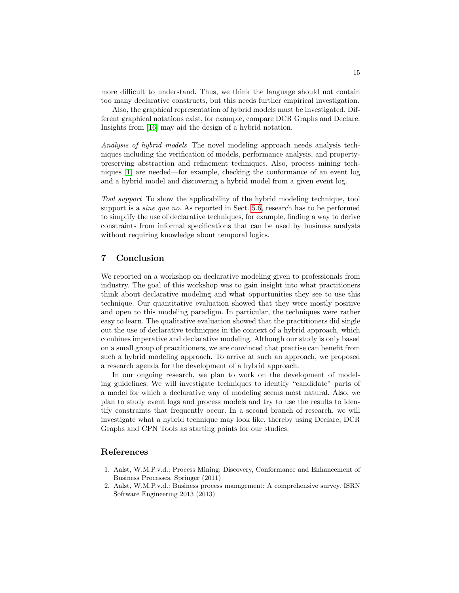more difficult to understand. Thus, we think the language should not contain too many declarative constructs, but this needs further empirical investigation.

Also, the graphical representation of hybrid models must be investigated. Different graphical notations exist, for example, compare DCR Graphs and Declare. Insights from [\[16\]](#page-15-21) may aid the design of a hybrid notation.

Analysis of hybrid models The novel modeling approach needs analysis techniques including the verification of models, performance analysis, and propertypreserving abstraction and refinement techniques. Also, process mining techniques [\[1\]](#page-14-1) are needed—for example, checking the conformance of an event log and a hybrid model and discovering a hybrid model from a given event log.

Tool support To show the applicability of the hybrid modeling technique, tool support is a *sine qua no.* As reported in Sect. [5.6,](#page-12-0) research has to be performed to simplify the use of declarative techniques, for example, finding a way to derive constraints from informal specifications that can be used by business analysts without requiring knowledge about temporal logics.

# 7 Conclusion

We reported on a workshop on declarative modeling given to professionals from industry. The goal of this workshop was to gain insight into what practitioners think about declarative modeling and what opportunities they see to use this technique. Our quantitative evaluation showed that they were mostly positive and open to this modeling paradigm. In particular, the techniques were rather easy to learn. The qualitative evaluation showed that the practitioners did single out the use of declarative techniques in the context of a hybrid approach, which combines imperative and declarative modeling. Although our study is only based on a small group of practitioners, we are convinced that practise can benefit from such a hybrid modeling approach. To arrive at such an approach, we proposed a research agenda for the development of a hybrid approach.

In our ongoing research, we plan to work on the development of modeling guidelines. We will investigate techniques to identify "candidate" parts of a model for which a declarative way of modeling seems most natural. Also, we plan to study event logs and process models and try to use the results to identify constraints that frequently occur. In a second branch of research, we will investigate what a hybrid technique may look like, thereby using Declare, DCR Graphs and CPN Tools as starting points for our studies.

# References

- <span id="page-14-1"></span>1. Aalst, W.M.P.v.d.: Process Mining: Discovery, Conformance and Enhancement of Business Processes. Springer (2011)
- <span id="page-14-0"></span>2. Aalst, W.M.P.v.d.: Business process management: A comprehensive survey. ISRN Software Engineering 2013 (2013)